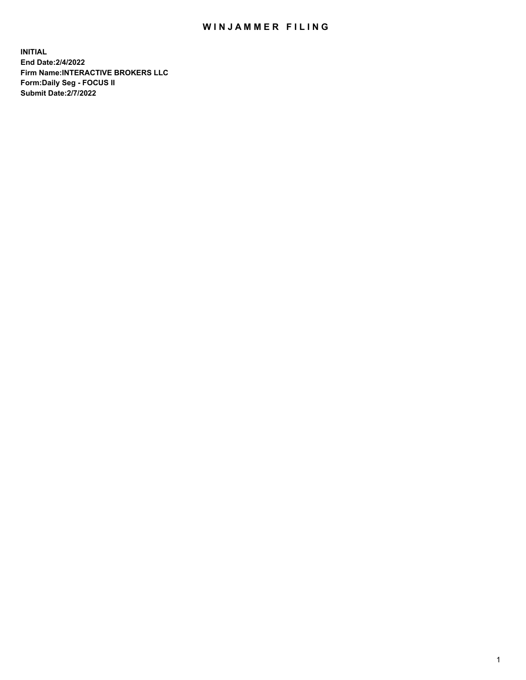## WIN JAMMER FILING

**INITIAL End Date:2/4/2022 Firm Name:INTERACTIVE BROKERS LLC Form:Daily Seg - FOCUS II Submit Date:2/7/2022**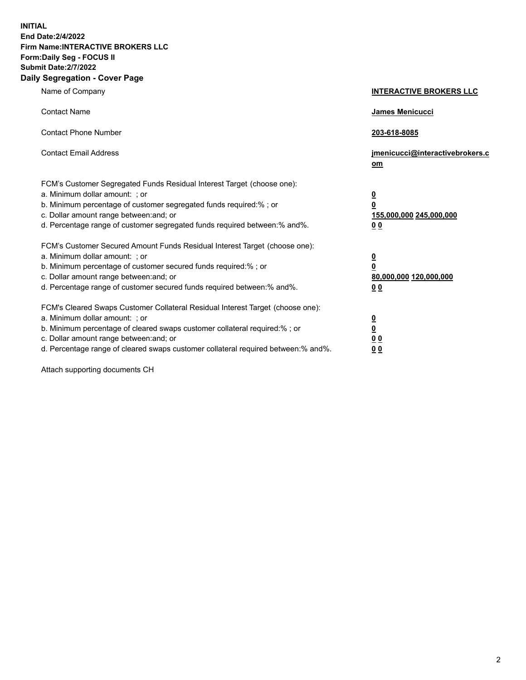**INITIAL End Date:2/4/2022 Firm Name:INTERACTIVE BROKERS LLC Form:Daily Seg - FOCUS II Submit Date:2/7/2022 Daily Segregation - Cover Page**

| Name of Company                                                                                                                                                                                                                                                                                                               | <b>INTERACTIVE BROKERS LLC</b>                                                             |
|-------------------------------------------------------------------------------------------------------------------------------------------------------------------------------------------------------------------------------------------------------------------------------------------------------------------------------|--------------------------------------------------------------------------------------------|
| <b>Contact Name</b>                                                                                                                                                                                                                                                                                                           | <b>James Menicucci</b>                                                                     |
| <b>Contact Phone Number</b>                                                                                                                                                                                                                                                                                                   | 203-618-8085                                                                               |
| <b>Contact Email Address</b>                                                                                                                                                                                                                                                                                                  | jmenicucci@interactivebrokers.c<br>om                                                      |
| FCM's Customer Segregated Funds Residual Interest Target (choose one):<br>a. Minimum dollar amount: ; or<br>b. Minimum percentage of customer segregated funds required:% ; or<br>c. Dollar amount range between: and; or<br>d. Percentage range of customer segregated funds required between:% and%.                        | $\overline{\mathbf{0}}$<br>$\overline{\mathbf{0}}$<br>155,000,000 245,000,000<br><u>00</u> |
| FCM's Customer Secured Amount Funds Residual Interest Target (choose one):<br>a. Minimum dollar amount: ; or<br>b. Minimum percentage of customer secured funds required:% ; or<br>c. Dollar amount range between: and; or<br>d. Percentage range of customer secured funds required between:% and%.                          | $\overline{\mathbf{0}}$<br>$\overline{\mathbf{0}}$<br>80,000,000 120,000,000<br>00         |
| FCM's Cleared Swaps Customer Collateral Residual Interest Target (choose one):<br>a. Minimum dollar amount: ; or<br>b. Minimum percentage of cleared swaps customer collateral required:%; or<br>c. Dollar amount range between: and; or<br>d. Percentage range of cleared swaps customer collateral required between:% and%. | <u>0</u><br><u>0</u><br>0 <sub>0</sub><br>0 <sub>0</sub>                                   |

Attach supporting documents CH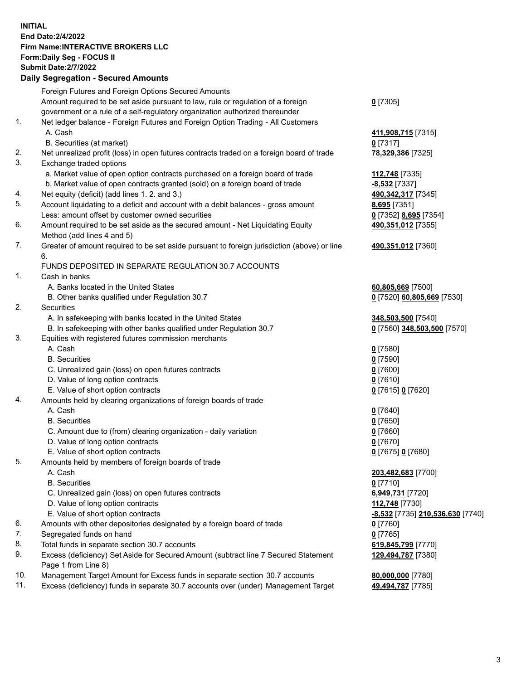**INITIAL End Date:2/4/2022 Firm Name:INTERACTIVE BROKERS LLC Form:Daily Seg - FOCUS II Submit Date:2/7/2022 Daily Segregation - Secured Amounts**

|     | Foreign Futures and Foreign Options Secured Amounts                                         |                                         |
|-----|---------------------------------------------------------------------------------------------|-----------------------------------------|
|     | Amount required to be set aside pursuant to law, rule or regulation of a foreign            | $0$ [7305]                              |
|     | government or a rule of a self-regulatory organization authorized thereunder                |                                         |
| 1.  | Net ledger balance - Foreign Futures and Foreign Option Trading - All Customers             |                                         |
|     | A. Cash                                                                                     | 411,908,715 [7315]                      |
|     | B. Securities (at market)                                                                   | $0$ [7317]                              |
| 2.  | Net unrealized profit (loss) in open futures contracts traded on a foreign board of trade   | 78,329,386 [7325]                       |
| 3.  | Exchange traded options                                                                     |                                         |
|     | a. Market value of open option contracts purchased on a foreign board of trade              | 112,748 [7335]                          |
|     | b. Market value of open contracts granted (sold) on a foreign board of trade                | -8,532 [7337]                           |
| 4.  | Net equity (deficit) (add lines 1. 2. and 3.)                                               | 490, 342, 317 [7345]                    |
| 5.  | Account liquidating to a deficit and account with a debit balances - gross amount           | 8,695 [7351]                            |
|     | Less: amount offset by customer owned securities                                            | 0 [7352] 8,695 [7354]                   |
| 6.  | Amount required to be set aside as the secured amount - Net Liquidating Equity              | 490,351,012 [7355]                      |
|     | Method (add lines 4 and 5)                                                                  |                                         |
| 7.  | Greater of amount required to be set aside pursuant to foreign jurisdiction (above) or line | 490,351,012 [7360]                      |
|     | 6.                                                                                          |                                         |
|     | FUNDS DEPOSITED IN SEPARATE REGULATION 30.7 ACCOUNTS                                        |                                         |
| 1.  | Cash in banks                                                                               |                                         |
|     | A. Banks located in the United States                                                       | 60,805,669 [7500]                       |
|     | B. Other banks qualified under Regulation 30.7                                              | 0 [7520] 60,805,669 [7530]              |
| 2.  | Securities                                                                                  |                                         |
|     | A. In safekeeping with banks located in the United States                                   | 348,503,500 [7540]                      |
|     | B. In safekeeping with other banks qualified under Regulation 30.7                          | 0 [7560] 348,503,500 [7570]             |
| 3.  | Equities with registered futures commission merchants                                       |                                         |
|     | A. Cash                                                                                     | $0$ [7580]                              |
|     | <b>B.</b> Securities                                                                        | $0$ [7590]                              |
|     | C. Unrealized gain (loss) on open futures contracts                                         | $0$ [7600]                              |
|     | D. Value of long option contracts                                                           | $0$ [7610]                              |
|     | E. Value of short option contracts                                                          | 0 [7615] 0 [7620]                       |
| 4.  | Amounts held by clearing organizations of foreign boards of trade                           |                                         |
|     | A. Cash                                                                                     | $0$ [7640]                              |
|     | <b>B.</b> Securities                                                                        | $0$ [7650]                              |
|     | C. Amount due to (from) clearing organization - daily variation                             | $0$ [7660]                              |
|     | D. Value of long option contracts                                                           | $0$ [7670]                              |
|     | E. Value of short option contracts                                                          | 0 [7675] 0 [7680]                       |
| 5.  | Amounts held by members of foreign boards of trade                                          |                                         |
|     | A. Cash                                                                                     | 203,482,683 [7700]                      |
|     | <b>B.</b> Securities                                                                        | $0$ [7710]                              |
|     | C. Unrealized gain (loss) on open futures contracts                                         | 6,949,731 [7720]                        |
|     | D. Value of long option contracts                                                           | 112,748 [7730]                          |
|     | E. Value of short option contracts                                                          | <u>-8,532</u> [7735] 210,536,630 [7740] |
| 6.  | Amounts with other depositories designated by a foreign board of trade                      | $0$ [7760]                              |
| 7.  | Segregated funds on hand                                                                    | $0$ [7765]                              |
| 8.  | Total funds in separate section 30.7 accounts                                               | 619,845,799 [7770]                      |
| 9.  | Excess (deficiency) Set Aside for Secured Amount (subtract line 7 Secured Statement         | 129,494,787 [7380]                      |
|     | Page 1 from Line 8)                                                                         |                                         |
| 10. | Management Target Amount for Excess funds in separate section 30.7 accounts                 | 80,000,000 [7780]                       |
| 11. | Excess (deficiency) funds in separate 30.7 accounts over (under) Management Target          | 49,494,787 [7785]                       |
|     |                                                                                             |                                         |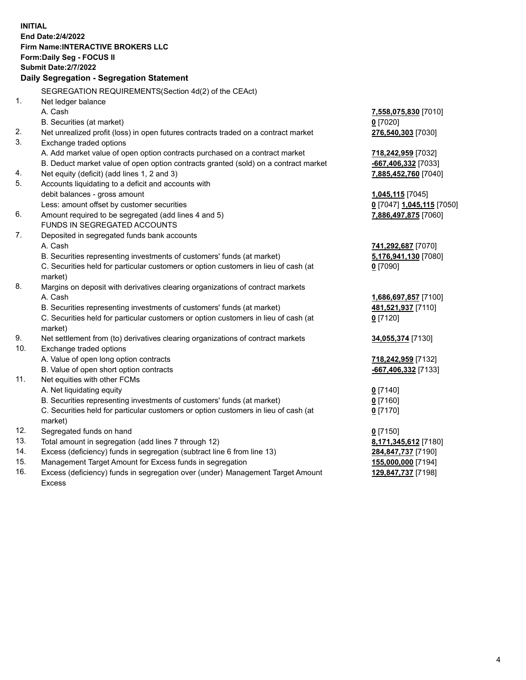**INITIAL End Date:2/4/2022 Firm Name:INTERACTIVE BROKERS LLC Form:Daily Seg - FOCUS II Submit Date:2/7/2022 Daily Segregation - Segregation Statement** SEGREGATION REQUIREMENTS(Section 4d(2) of the CEAct) 1. Net ledger balance A. Cash **7,558,075,830** [7010] B. Securities (at market) **0** [7020] 2. Net unrealized profit (loss) in open futures contracts traded on a contract market **276,540,303** [7030] 3. Exchange traded options A. Add market value of open option contracts purchased on a contract market **718,242,959** [7032] B. Deduct market value of open option contracts granted (sold) on a contract market **-667,406,332** [7033] 4. Net equity (deficit) (add lines 1, 2 and 3) **7,885,452,760** [7040] 5. Accounts liquidating to a deficit and accounts with debit balances - gross amount **1,045,115** [7045] Less: amount offset by customer securities **0** [7047] **1,045,115** [7050] 6. Amount required to be segregated (add lines 4 and 5) **7,886,497,875** [7060] FUNDS IN SEGREGATED ACCOUNTS 7. Deposited in segregated funds bank accounts A. Cash **741,292,687** [7070] B. Securities representing investments of customers' funds (at market) **5,176,941,130** [7080] C. Securities held for particular customers or option customers in lieu of cash (at market) **0** [7090] 8. Margins on deposit with derivatives clearing organizations of contract markets A. Cash **1,686,697,857** [7100] B. Securities representing investments of customers' funds (at market) **481,521,937** [7110] C. Securities held for particular customers or option customers in lieu of cash (at market) **0** [7120] 9. Net settlement from (to) derivatives clearing organizations of contract markets **34,055,374** [7130] 10. Exchange traded options A. Value of open long option contracts **718,242,959** [7132] B. Value of open short option contracts **-667,406,332** [7133] 11. Net equities with other FCMs A. Net liquidating equity **0** [7140] B. Securities representing investments of customers' funds (at market) **0** [7160] C. Securities held for particular customers or option customers in lieu of cash (at market) **0** [7170] 12. Segregated funds on hand **0** [7150] 13. Total amount in segregation (add lines 7 through 12) **8,171,345,612** [7180] 14. Excess (deficiency) funds in segregation (subtract line 6 from line 13) **284,847,737** [7190] 15. Management Target Amount for Excess funds in segregation **155,000,000** [7194] **129,847,737** [7198]

16. Excess (deficiency) funds in segregation over (under) Management Target Amount Excess